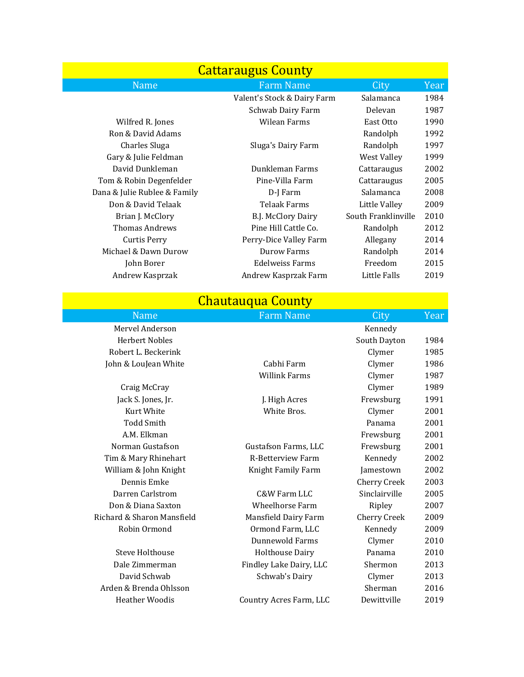| <b>Cattaraugus County</b> |                              |                             |                     |      |  |  |  |  |
|---------------------------|------------------------------|-----------------------------|---------------------|------|--|--|--|--|
|                           | <b>Name</b>                  | <b>Farm Name</b>            | City                | Year |  |  |  |  |
|                           |                              | Valent's Stock & Dairy Farm | Salamanca           | 1984 |  |  |  |  |
|                           |                              | Schwab Dairy Farm           | Delevan             | 1987 |  |  |  |  |
|                           | Wilfred R. Jones             | Wilean Farms                | East Otto           | 1990 |  |  |  |  |
|                           | Ron & David Adams            |                             | Randolph            | 1992 |  |  |  |  |
|                           | Charles Sluga                | Sluga's Dairy Farm          | Randolph            | 1997 |  |  |  |  |
|                           | Gary & Julie Feldman         |                             | <b>West Valley</b>  | 1999 |  |  |  |  |
|                           | David Dunkleman              | Dunkleman Farms             | Cattaraugus         | 2002 |  |  |  |  |
|                           | Tom & Robin Degenfelder      | Pine-Villa Farm             | Cattaraugus         | 2005 |  |  |  |  |
|                           | Dana & Julie Rublee & Family | D-J Farm                    | Salamanca           | 2008 |  |  |  |  |
|                           | Don & David Telaak           | Telaak Farms                | Little Valley       | 2009 |  |  |  |  |
|                           | Brian J. McClory             | B.J. McClory Dairy          | South Franklinville | 2010 |  |  |  |  |
|                           | <b>Thomas Andrews</b>        | Pine Hill Cattle Co.        | Randolph            | 2012 |  |  |  |  |
|                           | Curtis Perry                 | Perry-Dice Valley Farm      | Allegany            | 2014 |  |  |  |  |
|                           | Michael & Dawn Durow         | <b>Durow Farms</b>          | Randolph            | 2014 |  |  |  |  |
|                           | John Borer                   | Edelweiss Farms             | Freedom             | 2015 |  |  |  |  |
|                           | Andrew Kasprzak              | Andrew Kasprzak Farm        | Little Falls        | 2019 |  |  |  |  |
|                           |                              |                             |                     |      |  |  |  |  |

Chautauqua County

| <b>Name</b>                | <b>Farm Name</b>         | City                | Year |
|----------------------------|--------------------------|---------------------|------|
| Mervel Anderson            |                          | Kennedy             |      |
| <b>Herbert Nobles</b>      |                          | South Dayton        | 1984 |
| Robert L. Beckerink        |                          | Clymer              | 1985 |
| John & LouJean White       | Cabhi Farm               | Clymer              | 1986 |
|                            | <b>Willink Farms</b>     | Clymer              | 1987 |
| Craig McCray               |                          | Clymer              | 1989 |
| Jack S. Jones, Jr.         | J. High Acres            | Frewsburg           | 1991 |
| Kurt White                 | White Bros.              | Clymer              | 2001 |
| <b>Todd Smith</b>          |                          | Panama              | 2001 |
| A.M. Elkman                |                          | Frewsburg           | 2001 |
| Norman Gustafson           | Gustafson Farms, LLC     | Frewsburg           | 2001 |
| Tim & Mary Rhinehart       | <b>R-Betterview Farm</b> | Kennedy             | 2002 |
| William & John Knight      | Knight Family Farm       | Jamestown           | 2002 |
| Dennis Emke                |                          | Cherry Creek        | 2003 |
| Darren Carlstrom           | C&W Farm LLC             | Sinclairville       | 2005 |
| Don & Diana Saxton         | <b>Wheelhorse Farm</b>   | Ripley              | 2007 |
| Richard & Sharon Mansfield | Mansfield Dairy Farm     | <b>Cherry Creek</b> | 2009 |
| Robin Ormond               | Ormond Farm, LLC         | Kennedy             | 2009 |
|                            | Dunnewold Farms          | Clymer              | 2010 |
| Steve Holthouse            | <b>Holthouse Dairy</b>   | Panama              | 2010 |
| Dale Zimmerman             | Findley Lake Dairy, LLC  | Shermon             | 2013 |
| David Schwab               | Schwab's Dairy           | Clymer              | 2013 |
| Arden & Brenda Ohlsson     |                          | Sherman             | 2016 |
| <b>Heather Woodis</b>      | Country Acres Farm, LLC  | Dewittville         | 2019 |